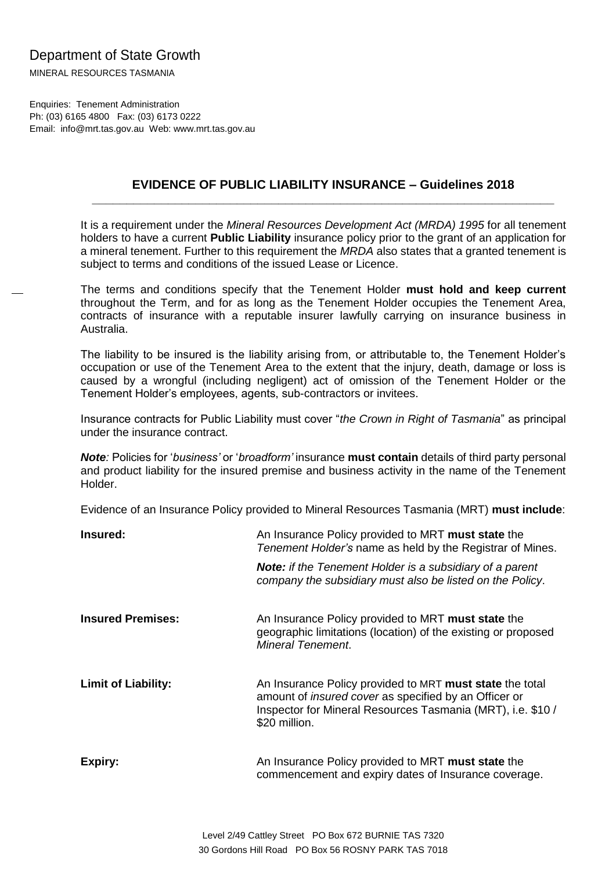## Department of State Growth

MINERAL RESOURCES TASMANIA

Enquiries: Tenement Administration Ph: (03) 6165 4800 Fax: (03) 6173 0222 Email: info@mrt.tas.gov.au Web: www.mrt.tas.gov.au

## **EVIDENCE OF PUBLIC LIABILITY INSURANCE – Guidelines 2018 \_\_\_\_\_\_\_\_\_\_\_\_\_\_\_\_\_\_\_\_\_\_\_\_\_\_\_\_\_\_\_\_\_\_\_\_\_\_\_\_\_\_\_\_\_\_\_\_\_\_\_\_\_\_\_\_\_\_\_\_\_\_\_\_\_\_\_**

It is a requirement under the *Mineral Resources Development Act (MRDA) 1995* for all tenement holders to have a current **Public Liability** insurance policy prior to the grant of an application for a mineral tenement. Further to this requirement the *MRDA* also states that a granted tenement is subject to terms and conditions of the issued Lease or Licence.

The terms and conditions specify that the Tenement Holder **must hold and keep current**  throughout the Term, and for as long as the Tenement Holder occupies the Tenement Area, contracts of insurance with a reputable insurer lawfully carrying on insurance business in Australia.

The liability to be insured is the liability arising from, or attributable to, the Tenement Holder's occupation or use of the Tenement Area to the extent that the injury, death, damage or loss is caused by a wrongful (including negligent) act of omission of the Tenement Holder or the Tenement Holder's employees, agents, sub-contractors or invitees.

Insurance contracts for Public Liability must cover "*the Crown in Right of Tasmania*" as principal under the insurance contract.

*Note:* Policies for '*business'* or '*broadform'* insurance **must contain** details of third party personal and product liability for the insured premise and business activity in the name of the Tenement Holder.

Evidence of an Insurance Policy provided to Mineral Resources Tasmania (MRT) **must include**:

| Insured:                   | An Insurance Policy provided to MRT must state the<br>Tenement Holder's name as held by the Registrar of Mines.                                                                                          |
|----------------------------|----------------------------------------------------------------------------------------------------------------------------------------------------------------------------------------------------------|
|                            | <b>Note:</b> if the Tenement Holder is a subsidiary of a parent<br>company the subsidiary must also be listed on the Policy.                                                                             |
| <b>Insured Premises:</b>   | An Insurance Policy provided to MRT must state the<br>geographic limitations (location) of the existing or proposed<br>Mineral Tenement.                                                                 |
| <b>Limit of Liability:</b> | An Insurance Policy provided to MRT must state the total<br>amount of <i>insured cover</i> as specified by an Officer or<br>Inspector for Mineral Resources Tasmania (MRT), i.e. \$10 /<br>\$20 million. |
| <b>Expiry:</b>             | An Insurance Policy provided to MRT must state the<br>commencement and expiry dates of Insurance coverage.                                                                                               |